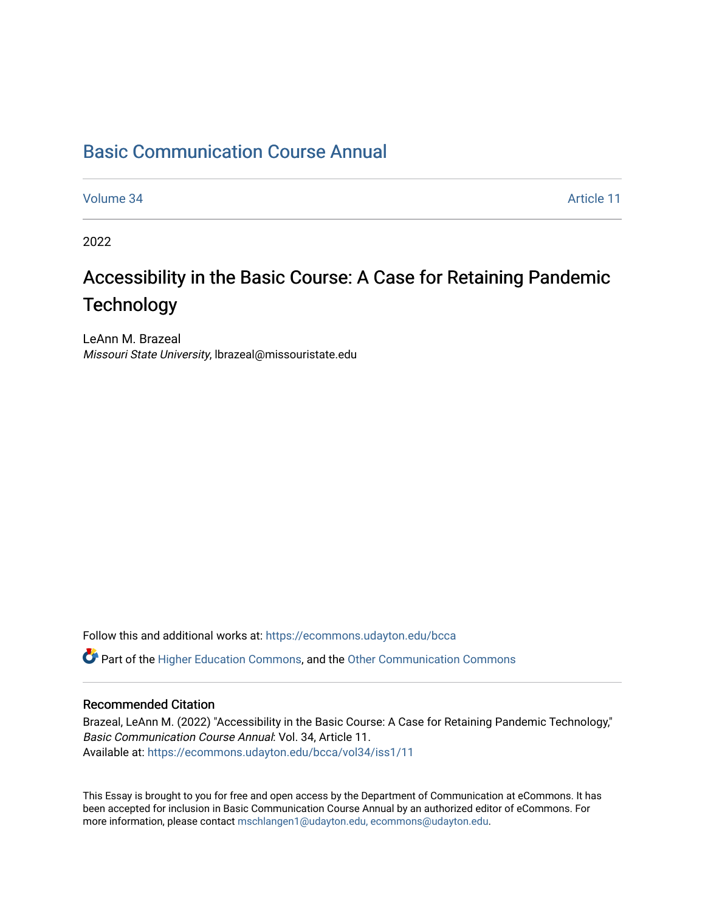### [Basic Communication Course Annual](https://ecommons.udayton.edu/bcca)

[Volume 34](https://ecommons.udayton.edu/bcca/vol34) Article 11

2022

## Accessibility in the Basic Course: A Case for Retaining Pandemic **Technology**

LeAnn M. Brazeal Missouri State University, lbrazeal@missouristate.edu

Follow this and additional works at: [https://ecommons.udayton.edu/bcca](https://ecommons.udayton.edu/bcca?utm_source=ecommons.udayton.edu%2Fbcca%2Fvol34%2Fiss1%2F11&utm_medium=PDF&utm_campaign=PDFCoverPages)

**C** Part of the [Higher Education Commons,](http://network.bepress.com/hgg/discipline/1245?utm_source=ecommons.udayton.edu%2Fbcca%2Fvol34%2Fiss1%2F11&utm_medium=PDF&utm_campaign=PDFCoverPages) and the [Other Communication Commons](http://network.bepress.com/hgg/discipline/339?utm_source=ecommons.udayton.edu%2Fbcca%2Fvol34%2Fiss1%2F11&utm_medium=PDF&utm_campaign=PDFCoverPages)

#### Recommended Citation

Brazeal, LeAnn M. (2022) "Accessibility in the Basic Course: A Case for Retaining Pandemic Technology," Basic Communication Course Annual: Vol. 34, Article 11. Available at: [https://ecommons.udayton.edu/bcca/vol34/iss1/11](https://ecommons.udayton.edu/bcca/vol34/iss1/11?utm_source=ecommons.udayton.edu%2Fbcca%2Fvol34%2Fiss1%2F11&utm_medium=PDF&utm_campaign=PDFCoverPages) 

This Essay is brought to you for free and open access by the Department of Communication at eCommons. It has been accepted for inclusion in Basic Communication Course Annual by an authorized editor of eCommons. For more information, please contact [mschlangen1@udayton.edu, ecommons@udayton.edu](mailto:mschlangen1@udayton.edu,%20ecommons@udayton.edu).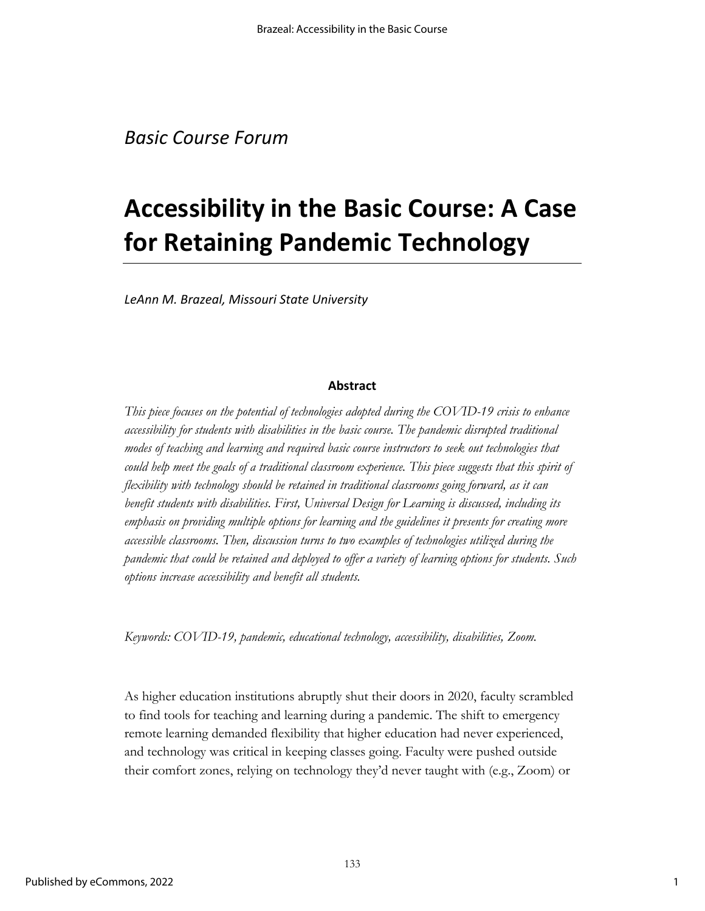# **Accessibility in the Basic Course: A Case for Retaining Pandemic Technology**

*LeAnn M. Brazeal, Missouri State University*

#### **Abstract**

*This piece focuses on the potential of technologies adopted during the COVID-19 crisis to enhance accessibility for students with disabilities in the basic course. The pandemic disrupted traditional modes of teaching and learning and required basic course instructors to seek out technologies that could help meet the goals of a traditional classroom experience. This piece suggests that this spirit of flexibility with technology should be retained in traditional classrooms going forward, as it can benefit students with disabilities. First, Universal Design for Learning is discussed, including its emphasis on providing multiple options for learning and the guidelines it presents for creating more accessible classrooms. Then, discussion turns to two examples of technologies utilized during the pandemic that could be retained and deployed to offer a variety of learning options for students. Such options increase accessibility and benefit all students.*

*Keywords: COVID-19, pandemic, educational technology, accessibility, disabilities, Zoom.*

As higher education institutions abruptly shut their doors in 2020, faculty scrambled to find tools for teaching and learning during a pandemic. The shift to emergency remote learning demanded flexibility that higher education had never experienced, and technology was critical in keeping classes going. Faculty were pushed outside their comfort zones, relying on technology they'd never taught with (e.g., Zoom) or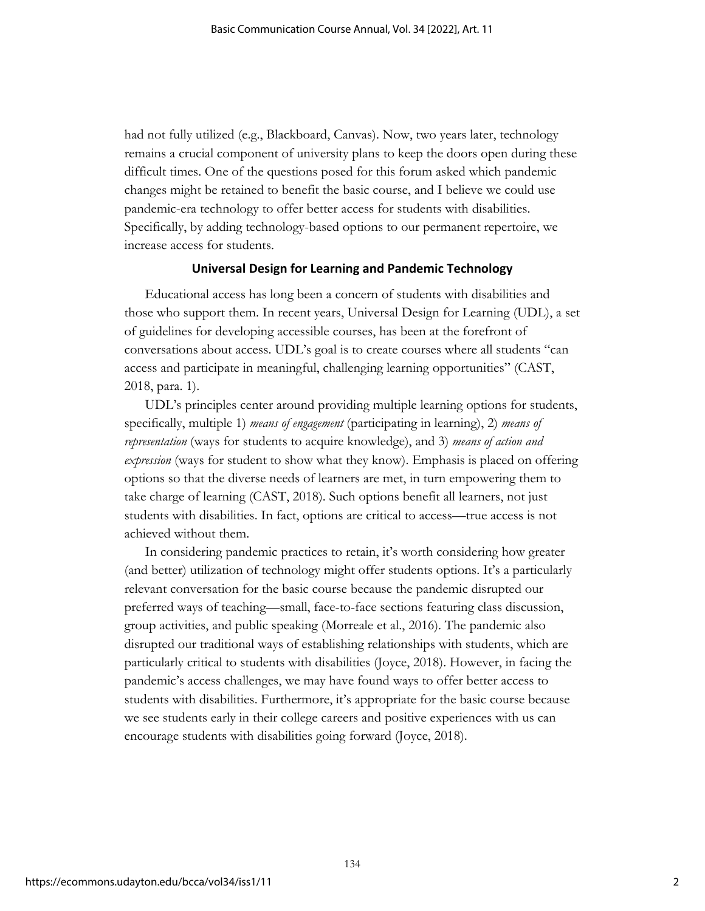had not fully utilized (e.g., Blackboard, Canvas). Now, two years later, technology remains a crucial component of university plans to keep the doors open during these difficult times. One of the questions posed for this forum asked which pandemic changes might be retained to benefit the basic course, and I believe we could use pandemic-era technology to offer better access for students with disabilities. Specifically, by adding technology-based options to our permanent repertoire, we increase access for students.

#### **Universal Design for Learning and Pandemic Technology**

Educational access has long been a concern of students with disabilities and those who support them. In recent years, Universal Design for Learning (UDL), a set of guidelines for developing accessible courses, has been at the forefront of conversations about access. UDL's goal is to create courses where all students "can access and participate in meaningful, challenging learning opportunities" (CAST, 2018, para. 1).

UDL's principles center around providing multiple learning options for students, specifically, multiple 1) *means of engagement* (participating in learning), 2) *means of representation* (ways for students to acquire knowledge), and 3) *means of action and expression* (ways for student to show what they know). Emphasis is placed on offering options so that the diverse needs of learners are met, in turn empowering them to take charge of learning (CAST, 2018). Such options benefit all learners, not just students with disabilities. In fact, options are critical to access—true access is not achieved without them.

In considering pandemic practices to retain, it's worth considering how greater (and better) utilization of technology might offer students options. It's a particularly relevant conversation for the basic course because the pandemic disrupted our preferred ways of teaching—small, face-to-face sections featuring class discussion, group activities, and public speaking (Morreale et al., 2016). The pandemic also disrupted our traditional ways of establishing relationships with students, which are particularly critical to students with disabilities (Joyce, 2018). However, in facing the pandemic's access challenges, we may have found ways to offer better access to students with disabilities. Furthermore, it's appropriate for the basic course because we see students early in their college careers and positive experiences with us can encourage students with disabilities going forward (Joyce, 2018).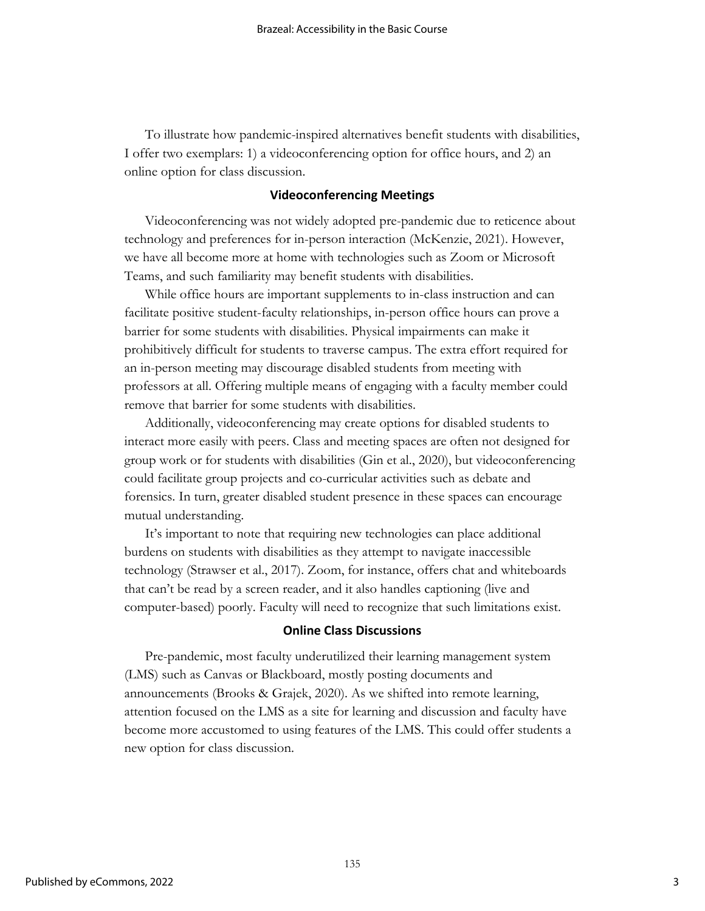To illustrate how pandemic-inspired alternatives benefit students with disabilities, I offer two exemplars: 1) a videoconferencing option for office hours, and 2) an online option for class discussion.

#### **Videoconferencing Meetings**

Videoconferencing was not widely adopted pre-pandemic due to reticence about technology and preferences for in-person interaction (McKenzie, 2021). However, we have all become more at home with technologies such as Zoom or Microsoft Teams, and such familiarity may benefit students with disabilities.

While office hours are important supplements to in-class instruction and can facilitate positive student-faculty relationships, in-person office hours can prove a barrier for some students with disabilities. Physical impairments can make it prohibitively difficult for students to traverse campus. The extra effort required for an in-person meeting may discourage disabled students from meeting with professors at all. Offering multiple means of engaging with a faculty member could remove that barrier for some students with disabilities.

Additionally, videoconferencing may create options for disabled students to interact more easily with peers. Class and meeting spaces are often not designed for group work or for students with disabilities (Gin et al., 2020), but videoconferencing could facilitate group projects and co-curricular activities such as debate and forensics. In turn, greater disabled student presence in these spaces can encourage mutual understanding.

It's important to note that requiring new technologies can place additional burdens on students with disabilities as they attempt to navigate inaccessible technology (Strawser et al., 2017). Zoom, for instance, offers chat and whiteboards that can't be read by a screen reader, and it also handles captioning (live and computer-based) poorly. Faculty will need to recognize that such limitations exist.

#### **Online Class Discussions**

Pre-pandemic, most faculty underutilized their learning management system (LMS) such as Canvas or Blackboard, mostly posting documents and announcements (Brooks & Grajek, 2020). As we shifted into remote learning, attention focused on the LMS as a site for learning and discussion and faculty have become more accustomed to using features of the LMS. This could offer students a new option for class discussion.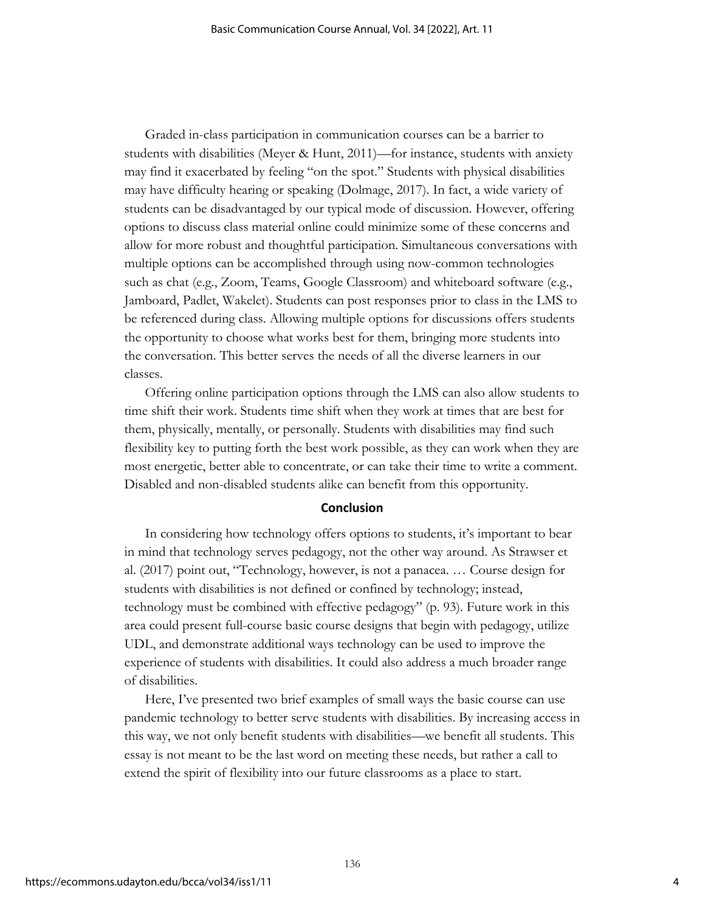Graded in-class participation in communication courses can be a barrier to students with disabilities (Meyer & Hunt, 2011)—for instance, students with anxiety may find it exacerbated by feeling "on the spot." Students with physical disabilities may have difficulty hearing or speaking (Dolmage, 2017). In fact, a wide variety of students can be disadvantaged by our typical mode of discussion. However, offering options to discuss class material online could minimize some of these concerns and allow for more robust and thoughtful participation. Simultaneous conversations with multiple options can be accomplished through using now-common technologies such as chat (e.g., Zoom, Teams, Google Classroom) and whiteboard software (e.g., Jamboard, Padlet, Wakelet). Students can post responses prior to class in the LMS to be referenced during class. Allowing multiple options for discussions offers students the opportunity to choose what works best for them, bringing more students into the conversation. This better serves the needs of all the diverse learners in our classes.

Offering online participation options through the LMS can also allow students to time shift their work. Students time shift when they work at times that are best for them, physically, mentally, or personally. Students with disabilities may find such flexibility key to putting forth the best work possible, as they can work when they are most energetic, better able to concentrate, or can take their time to write a comment. Disabled and non-disabled students alike can benefit from this opportunity.

#### **Conclusion**

In considering how technology offers options to students, it's important to bear in mind that technology serves pedagogy, not the other way around. As Strawser et al. (2017) point out, "Technology, however, is not a panacea. … Course design for students with disabilities is not defined or confined by technology; instead, technology must be combined with effective pedagogy" (p. 93). Future work in this area could present full-course basic course designs that begin with pedagogy, utilize UDL, and demonstrate additional ways technology can be used to improve the experience of students with disabilities. It could also address a much broader range of disabilities.

Here, I've presented two brief examples of small ways the basic course can use pandemic technology to better serve students with disabilities. By increasing access in this way, we not only benefit students with disabilities—we benefit all students. This essay is not meant to be the last word on meeting these needs, but rather a call to extend the spirit of flexibility into our future classrooms as a place to start.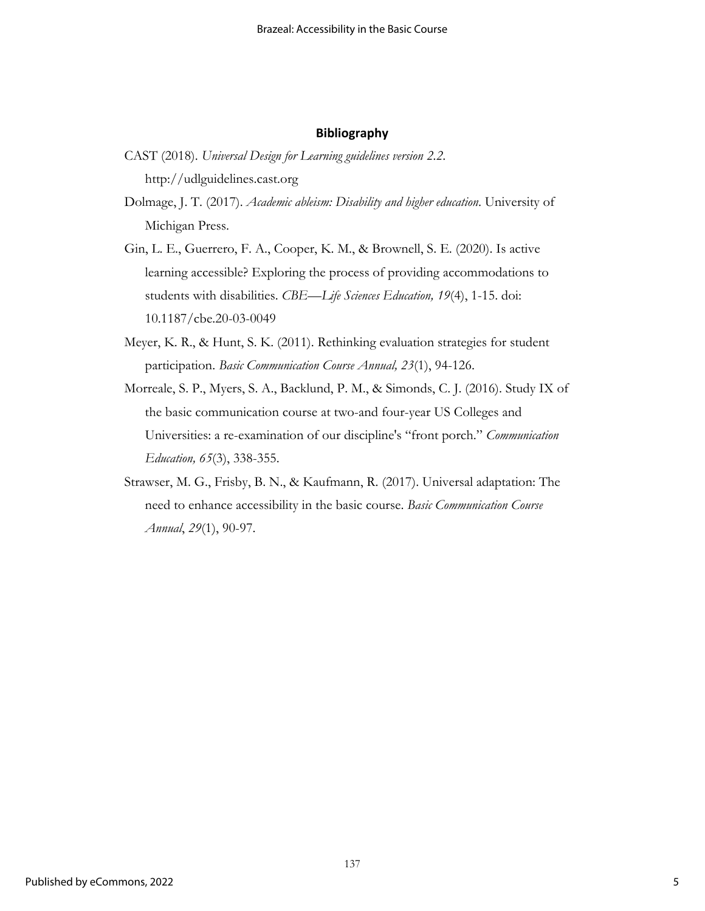#### **Bibliography**

- CAST (2018). *Universal Design for Learning guidelines version 2.2*. http://udlguidelines.cast.org
- Dolmage, J. T. (2017). *Academic ableism: Disability and higher education*. University of Michigan Press.
- Gin, L. E., Guerrero, F. A., Cooper, K. M., & Brownell, S. E. (2020). Is active learning accessible? Exploring the process of providing accommodations to students with disabilities. *CBE—Life Sciences Education, 19*(4), 1-15. doi: 10.1187/cbe.20-03-0049
- Meyer, K. R., & Hunt, S. K. (2011). Rethinking evaluation strategies for student participation. *Basic Communication Course Annual, 23*(1), 94-126.
- Morreale, S. P., Myers, S. A., Backlund, P. M., & Simonds, C. J. (2016). Study IX of the basic communication course at two-and four-year US Colleges and Universities: a re-examination of our discipline's "front porch." *Communication Education, 65*(3), 338-355.
- Strawser, M. G., Frisby, B. N., & Kaufmann, R. (2017). Universal adaptation: The need to enhance accessibility in the basic course. *Basic Communication Course Annual*, *29*(1), 90-97.